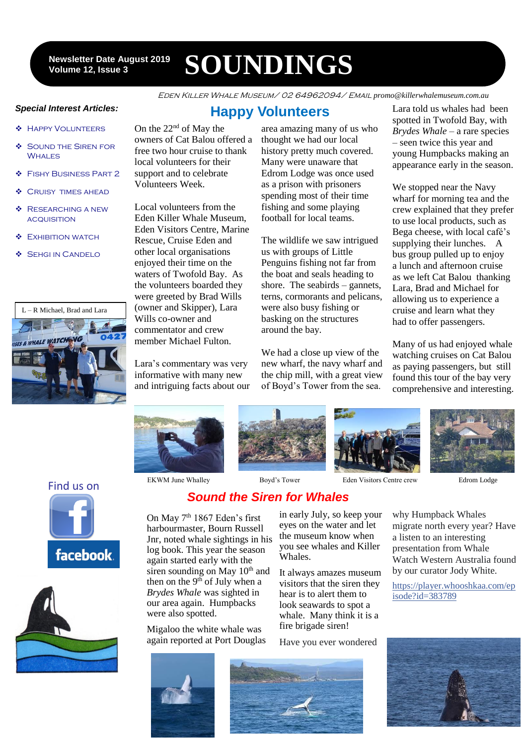12 **Volume 12, Issue 3 Newsletter Date August 2019**

# **SOUNDINGS**

Eden Killer Whale Museum/ 02 64962094/ Email *promo@killerwhalemuseum.com.au*

#### *Special Interest Articles:*

- Happy Volunteers
- **SOUND THE SIREN FOR WHALES**
- Fishy Business Part 2
- **CRUISY TIMES AHEAD**
- **BESEARCHING A NEW ACQUISITION**
- **EXHIBITION WATCH**
- **SEHGI IN CANDELO**



# **Happy Volunteers**

On the 22nd of May the owners of Cat Balou offered a free two hour cruise to thank local volunteers for their support and to celebrate Volunteers Week.

Local volunteers from the Eden Killer Whale Museum, Eden Visitors Centre, Marine Rescue, Cruise Eden and other local organisations enjoyed their time on the waters of Twofold Bay. As the volunteers boarded they were greeted by Brad Wills (owner and Skipper), Lara Wills co-owner and commentator and crew member Michael Fulton.

Lara's commentary was very informative with many new and intriguing facts about our

area amazing many of us who thought we had our local history pretty much covered. Many were unaware that Edrom Lodge was once used as a prison with prisoners spending most of their time fishing and some playing football for local teams.

The wildlife we saw intrigued us with groups of Little Penguins fishing not far from the boat and seals heading to shore. The seabirds – gannets, terns, cormorants and pelicans, were also busy fishing or basking on the structures around the bay.

We had a close up view of the new wharf, the navy wharf and the chip mill, with a great view of Boyd's Tower from the sea.

Lara told us whales had been spotted in Twofold Bay, with *Brydes Whale* – a rare species – seen twice this year and young Humpbacks making an appearance early in the season.

We stopped near the Navy wharf for morning tea and the crew explained that they prefer to use local products, such as Bega cheese, with local café's supplying their lunches. A bus group pulled up to enjoy a lunch and afternoon cruise as we left Cat Balou thanking Lara, Brad and Michael for allowing us to experience a cruise and learn what they had to offer passengers.

Many of us had enjoyed whale watching cruises on Cat Balou as paying passengers, but still found this tour of the bay very comprehensive and interesting.









EKWM June Whalley Boyd's Tower Eden Visitors Centre crew Edrom Lodge





Find us on facebook.



*Sound the Siren for Whales*

On May 7<sup>th</sup> 1867 Eden's first harbourmaster, Bourn Russell Jnr, noted whale sightings in his log book. This year the season again started early with the siren sounding on May 10<sup>th</sup> and then on the  $9<sup>th</sup>$  of July when a *Brydes Whale* was sighted in our area again. Humpbacks were also spotted.

Migaloo the white whale was again reported at Port Douglas in early July, so keep your eyes on the water and let the museum know when you see whales and Killer Whales.

It always amazes museum visitors that the siren they hear is to alert them to look seawards to spot a whale. Many think it is a fire brigade siren!

Have you ever wondered

why Humpback Whales migrate north every year? Have a listen to an interesting presentation from Whale Watch Western Australia found by our curator Jody White.

[https://player.whooshkaa.com/ep](https://player.whooshkaa.com/episode?id=383789&fbclid=IwAR13Ia5Vqc3wHd_aceHXRMoRMv3rzvsxMfaXszyW7wBxpxMh0Cu5DFuCsNY) [isode?id=383789](https://player.whooshkaa.com/episode?id=383789&fbclid=IwAR13Ia5Vqc3wHd_aceHXRMoRMv3rzvsxMfaXszyW7wBxpxMh0Cu5DFuCsNY)





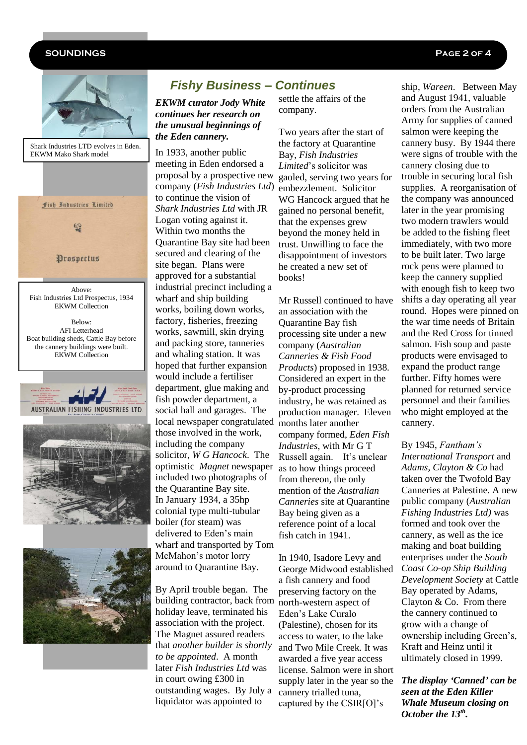#### **SOUNDINGS Page 2 of 4**



Shark Industries LTD evolves in Eden. EKWM Mako Shark model



Above: Fish Industries Ltd Prospectus, 1934 EKWM Collection

Below: AFI Letterhead Boat building sheds, Cattle Bay before the cannery buildings were built. EKWM Collection







# *Fishy Business – Continues*

*EKWM curator Jody White continues her research on the unusual beginnings of the Eden cannery.*

In 1933, another public meeting in Eden endorsed a proposal by a prospective new company (*Fish Industries Ltd*) to continue the vision of *Shark Industries Ltd* with JR Logan voting against it. Within two months the Quarantine Bay site had been secured and clearing of the site began. Plans were approved for a substantial industrial precinct including a wharf and ship building works, boiling down works, factory, fisheries, freezing works, sawmill, skin drying and packing store, tanneries and whaling station. It was hoped that further expansion would include a fertiliser department, glue making and fish powder department, a social hall and garages. The local newspaper congratulated those involved in the work, including the company solicitor, *W G Hancock*. The optimistic *Magnet* newspaper included two photographs of the Quarantine Bay site. In January 1934, a 35hp colonial type multi-tubular boiler (for steam) was delivered to Eden's main wharf and transported by Tom McMahon's motor lorry around to Quarantine Bay.

By April trouble began. The building contractor, back from holiday leave, terminated his association with the project. The Magnet assured readers that *another builder is shortly to be appointed*. A month later *Fish Industries Ltd* was in court owing £300 in outstanding wages. By July a liquidator was appointed to

settle the affairs of the company.

Two years after the start of the factory at Quarantine Bay, *Fish Industries Limited*'s solicitor was gaoled, serving two years for embezzlement. Solicitor WG Hancock argued that he gained no personal benefit, that the expenses grew beyond the money held in trust. Unwilling to face the disappointment of investors he created a new set of books!

Mr Russell continued to have an association with the Quarantine Bay fish processing site under a new company (*Australian Canneries & Fish Food Products*) proposed in 1938. Considered an expert in the by-product processing industry, he was retained as production manager. Eleven months later another company formed, *Eden Fish Industries*, with Mr G T Russell again. It's unclear as to how things proceed from thereon, the only mention of the *Australian Canneries* site at Quarantine Bay being given as a reference point of a local fish catch in 1941.

In 1940, Isadore Levy and George Midwood established a fish cannery and food preserving factory on the north-western aspect of Eden's Lake Curalo (Palestine), chosen for its access to water, to the lake and Two Mile Creek. It was awarded a five year access license. Salmon were in short supply later in the year so the cannery trialled tuna, captured by the CSIR[O]'s

ship, *Wareen*. Between May and August 1941, valuable orders from the Australian Army for supplies of canned salmon were keeping the cannery busy. By 1944 there were signs of trouble with the cannery closing due to trouble in securing local fish supplies. A reorganisation of the company was announced later in the year promising two modern trawlers would be added to the fishing fleet immediately, with two more to be built later. Two large rock pens were planned to keep the cannery supplied with enough fish to keep two shifts a day operating all year round. Hopes were pinned on the war time needs of Britain and the Red Cross for tinned salmon. Fish soup and paste products were envisaged to expand the product range further. Fifty homes were planned for returned service personnel and their families who might employed at the cannery.

By 1945, *Fantham's International Transport* and *Adams, Clayton & Co* had taken over the Twofold Bay Canneries at Palestine. A new public company (*Australian Fishing Industries Ltd)* was formed and took over the cannery, as well as the ice making and boat building enterprises under the *South Coast Co-op Ship Building Development Society* at Cattle Bay operated by Adams, Clayton & Co. From there the cannery continued to grow with a change of ownership including Green's, Kraft and Heinz until it ultimately closed in 1999.

*The display 'Canned' can be seen at the Eden Killer Whale Museum closing on October the 13th .*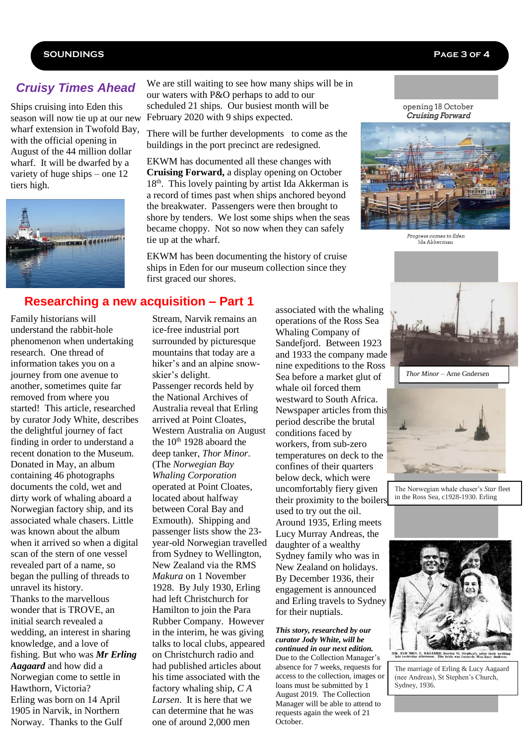#### **SOUNDINGS Page 3 of 4**

### *Cruisy Times Ahead*

Ships cruising into Eden this season will now tie up at our new wharf extension in Twofold Bay, with the official opening in August of the 44 million dollar wharf. It will be dwarfed by a variety of huge ships – one 12 tiers high.



We are still waiting to see how many ships will be in our waters with P&O perhaps to add to our scheduled 21 ships. Our busiest month will be February 2020 with 9 ships expected.

There will be further developments to come as the buildings in the port precinct are redesigned.

EKWM has documented all these changes with **Cruising Forward,** a display opening on October  $18<sup>th</sup>$ . This lovely painting by artist Ida Akkerman is a record of times past when ships anchored beyond the breakwater. Passengers were then brought to shore by tenders. We lost some ships when the seas became choppy. Not so now when they can safely tie up at the wharf.

EKWM has been documenting the history of cruise ships in Eden for our museum collection since they first graced our shores.

opening 18 October Cruising Forward



Progress comes to Eden Ida Akkerman

#### **Researching a new acquisition – Part 1**

Family historians will understand the rabbit-hole phenomenon when undertaking research. One thread of information takes you on a journey from one avenue to another, sometimes quite far removed from where you started! This article, researched by curator Jody White, describes the delightful journey of fact finding in order to understand a recent donation to the Museum. Donated in May, an album containing 46 photographs documents the cold, wet and dirty work of whaling aboard a Norwegian factory ship, and its associated whale chasers. Little was known about the album when it arrived so when a digital scan of the stern of one vessel revealed part of a name, so began the pulling of threads to unravel its history. Thanks to the marvellous wonder that is TROVE, an initial search revealed a wedding, an interest in sharing knowledge, and a love of fishing. But who was *Mr Erling Aagaard* and how did a Norwegian come to settle in Hawthorn, Victoria? Erling was born on 14 April 1905 in Narvik, in Northern Norway. Thanks to the Gulf

Stream, Narvik remains an ice-free industrial port surrounded by picturesque mountains that today are a hiker's and an alpine snowskier's delight. Passenger records held by the National Archives of Australia reveal that Erling arrived at Point Cloates, Western Australia on August the  $10^{th}$  1928 aboard the deep tanker, *Thor Minor*. (The *Norwegian Bay Whaling Corporation* operated at Point Cloates, located about halfway between Coral Bay and Exmouth). Shipping and passenger lists show the 23 year-old Norwegian travelled from Sydney to Wellington, New Zealand via the RMS *Makura* on 1 November 1928. By July 1930, Erling had left Christchurch for Hamilton to join the Para Rubber Company. However in the interim, he was giving talks to local clubs, appeared on Christchurch radio and had published articles about his time associated with the factory whaling ship, *C A Larsen*. It is here that we can determine that he was one of around 2,000 men

associated with the whaling operations of the Ross Sea Whaling Company of Sandefjord. Between 1923 and 1933 the company made nine expeditions to the Ross Sea before a market glut of whale oil forced them westward to South Africa. Newspaper articles from this period describe the brutal conditions faced by workers, from sub-zero temperatures on deck to the confines of their quarters below deck, which were uncomfortably fiery given their proximity to the boilers used to try out the oil. Around 1935, Erling meets Lucy Murray Andreas, the daughter of a wealthy Sydney family who was in New Zealand on holidays. By December 1936, their engagement is announced and Erling travels to Sydney for their nuptials.

#### *This story, researched by our curator Jody White, will be continued in our next edition.* Due to the Collection Manager's

absence for 7 weeks, requests for access to the collection, images or loans must be submitted by 1 August 2019. The Collection Manager will be able to attend to requests again the week of 21 October.



*Thor Minor* – Arne Gndersen



The Norwegian whale chaser's *Star* fleet in the Ross Sea, c1928-1930. Erling

Aagaard Collection.



The marriage of Erling & Lucy Aagaard (nee Andreas), St Stephen's Church, Sydney, 1936.